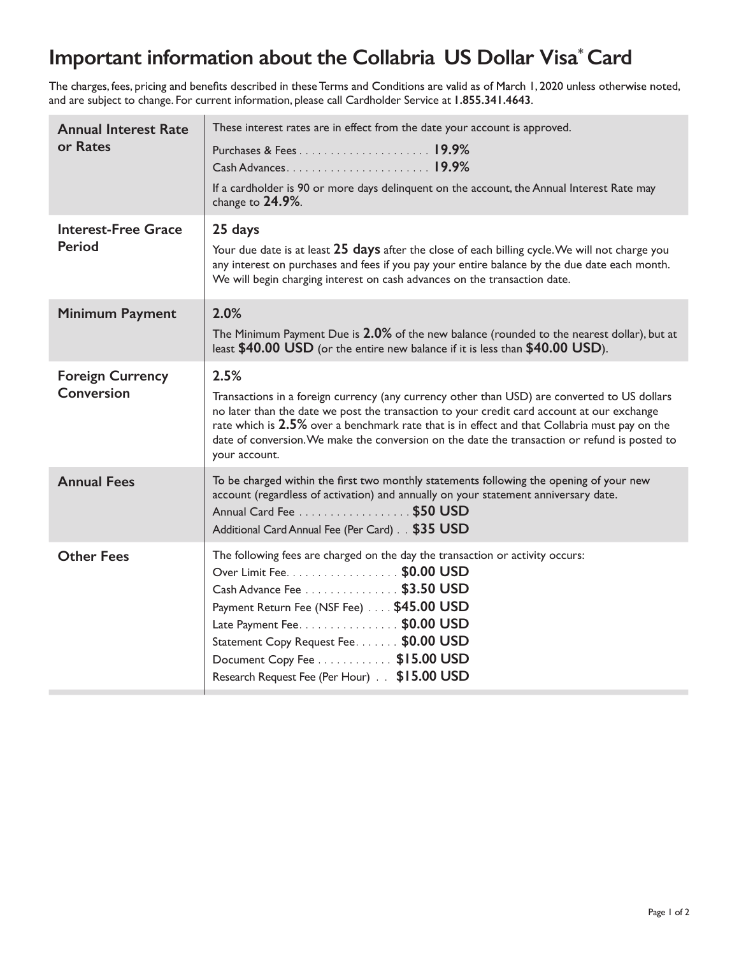## **Important information about the Collabria US Dollar Visa\* Card**

The charges, fees, pricing and benefits described in these Terms and Conditions are valid as of March 1, 2020 unless otherwise noted, and are subject to change. For current information, please call Cardholder Service at **1.855.341.4643**.

| <b>Annual Interest Rate</b><br>or Rates<br><b>Interest-Free Grace</b> | These interest rates are in effect from the date your account is approved.<br>Purchases & Fees19.9%<br>If a cardholder is 90 or more days delinquent on the account, the Annual Interest Rate may<br>change to $24.9\%$ .<br>25 days                                                                                                                                                                                  |
|-----------------------------------------------------------------------|-----------------------------------------------------------------------------------------------------------------------------------------------------------------------------------------------------------------------------------------------------------------------------------------------------------------------------------------------------------------------------------------------------------------------|
| Period                                                                | Your due date is at least 25 days after the close of each billing cycle. We will not charge you<br>any interest on purchases and fees if you pay your entire balance by the due date each month.<br>We will begin charging interest on cash advances on the transaction date.                                                                                                                                         |
| <b>Minimum Payment</b>                                                | 2.0%<br>The Minimum Payment Due is 2.0% of the new balance (rounded to the nearest dollar), but at<br>least \$40.00 USD (or the entire new balance if it is less than \$40.00 USD).                                                                                                                                                                                                                                   |
| <b>Foreign Currency</b><br><b>Conversion</b>                          | 2.5%<br>Transactions in a foreign currency (any currency other than USD) are converted to US dollars<br>no later than the date we post the transaction to your credit card account at our exchange<br>rate which is 2.5% over a benchmark rate that is in effect and that Collabria must pay on the<br>date of conversion. We make the conversion on the date the transaction or refund is posted to<br>your account. |
| <b>Annual Fees</b>                                                    | To be charged within the first two monthly statements following the opening of your new<br>account (regardless of activation) and annually on your statement anniversary date.<br>Annual Card Fee \$50 USD<br>Additional Card Annual Fee (Per Card). \$35 USD                                                                                                                                                         |
| <b>Other Fees</b>                                                     | The following fees are charged on the day the transaction or activity occurs:<br>Over Limit Fee. \$0.00 USD<br>Cash Advance Fee \$3.50 USD<br>Payment Return Fee (NSF Fee) \$45.00 USD<br>Late Payment Fee. \$0.00 USD<br>Statement Copy Request Fee. \$0.00 USD<br>Document Copy Fee \$15.00 USD<br>Research Request Fee (Per Hour) \$15.00 USD                                                                      |